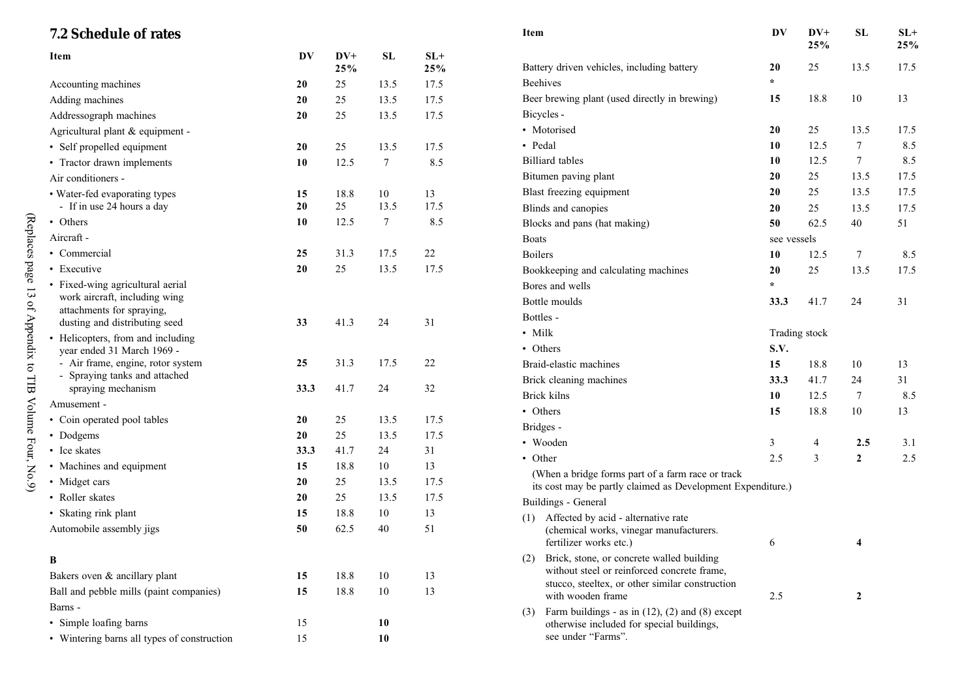| 25%                                                                                                                                                                  | 25%  |
|----------------------------------------------------------------------------------------------------------------------------------------------------------------------|------|
| $DV+$<br>${\bf SL}$<br>$SL+$<br>DV<br>Item<br>25<br>13.5<br>Battery driven vehicles, including battery<br>20<br>25%<br>25%                                           | 17.5 |
| $\star$<br><b>Beehives</b><br>25<br>13.5<br>17.5<br>Accounting machines<br><b>20</b>                                                                                 |      |
| 18.8<br>10<br>Beer brewing plant (used directly in brewing)<br>15<br>25<br>13.5<br>17.5<br>Adding machines<br>20                                                     | 13   |
| Bicycles -<br>25<br>13.5<br>17.5<br>Addressograph machines<br>20                                                                                                     |      |
| 20<br>25<br>13.5<br>• Motorised<br>Agricultural plant & equipment -                                                                                                  | 17.5 |
| • Pedal<br>12.5<br>7<br>10<br>• Self propelled equipment<br>20<br>25<br>13.5<br>17.5                                                                                 | 8.5  |
| <b>Billiard</b> tables<br>12.5<br>7<br>10<br>$\tau$<br>8.5<br>• Tractor drawn implements<br>10<br>12.5                                                               | 8.5  |
| 20<br>25<br>13.5<br>Bitumen paving plant<br>Air conditioners -                                                                                                       | 17.5 |
| Blast freezing equipment<br>20<br>25<br>13.5<br>18.8<br>• Water-fed evaporating types<br>15<br>10<br>13                                                              | 17.5 |
| 20<br>25<br>13.5<br>17.5<br>- If in use 24 hours a day<br>Blinds and canopies<br>20<br>25<br>13.5                                                                    | 17.5 |
| 8.5<br>• Others<br>10<br>12.5<br>7<br>Blocks and pans (hat making)<br>50<br>40<br>62.5                                                                               | 51   |
| Aircraft -<br>Boats<br>see vessels                                                                                                                                   |      |
| 22<br>25<br>31.3<br>17.5<br>• Commercial<br><b>Boilers</b><br>$7\phantom{.0}$<br>10<br>12.5                                                                          | 8.5  |
| 13.5<br>17.5<br>• Executive<br>20<br>25<br>13.5<br>Bookkeeping and calculating machines<br>20<br>25                                                                  | 17.5 |
| • Fixed-wing agricultural aerial<br>$\star$<br>Bores and wells                                                                                                       |      |
| work aircraft, including wing<br>Bottle moulds<br>33.3<br>41.7<br>24                                                                                                 | 31   |
| attachments for spraying,<br>Bottles -<br>31<br>41.3<br>24<br>dusting and distributing seed<br>33                                                                    |      |
| • Milk<br>Trading stock<br>• Helicopters, from and including                                                                                                         |      |
| • Others<br>S.V.<br>year ended 31 March 1969 -                                                                                                                       |      |
| 31.3<br>- Air frame, engine, rotor system<br>25<br>17.5<br>22<br>Braid-elastic machines<br>15<br>18.8<br>10                                                          | 13   |
| - Spraying tanks and attached<br>Brick cleaning machines<br>24<br>33.3<br>41.7                                                                                       | 31   |
| 41.7<br>32<br>spraying mechanism<br>33.3<br>24<br>Brick kilns<br>7<br>10<br>12.5                                                                                     | 8.5  |
| Amusement -<br>• Others<br>15<br>18.8<br>10                                                                                                                          | 13   |
| 13.5<br>• Coin operated pool tables<br>20<br>25<br>17.5<br>Bridges -                                                                                                 |      |
| 25<br>17.5<br>20<br>13.5<br>• Dodgems<br>• Wooden<br>3<br>4<br>2.5                                                                                                   | 3.1  |
| 31<br>• Ice skates<br>33.3<br>41.7<br>24<br>• Other<br>2.5<br>3<br>$\boldsymbol{2}$                                                                                  | 2.5  |
| 13<br>• Machines and equipment<br>15<br>18.8<br>10<br>(When a bridge forms part of a farm race or track                                                              |      |
| 17.5<br>• Midget cars<br>20<br>25<br>13.5<br>its cost may be partly claimed as Development Expenditure.)                                                             |      |
| 25<br>17.5<br>• Roller skates<br>13.5<br>20<br>Buildings - General                                                                                                   |      |
| • Skating rink plant<br>15<br>18.8<br>10<br>13<br>Affected by acid - alternative rate<br>(1)                                                                         |      |
| Automobile assembly jigs<br>62.5<br>51<br>50<br>40<br>(chemical works, vinegar manufacturers.<br>fertilizer works etc.)<br>6<br>4                                    |      |
| Brick, stone, or concrete walled building<br>B                                                                                                                       |      |
| without steel or reinforced concrete frame,<br>Bakers oven & ancillary plant<br>18.8<br>10<br>13<br>15                                                               |      |
| stucco, steeltex, or other similar construction<br>18.8<br>13<br>Ball and pebble mills (paint companies)<br>15<br>10<br>with wooden frame<br>2.5<br>$\boldsymbol{2}$ |      |
| Barns -<br>Farm buildings - as in $(12)$ , $(2)$ and $(8)$ except                                                                                                    |      |
| (3)<br>• Simple loafing barns<br>15<br>10<br>otherwise included for special buildings,                                                                               |      |
| see under "Farms".<br>• Wintering barns all types of construction<br>15<br>10                                                                                        |      |

(Replaces page 13 of Appendix to TIB Volume Four, No.9)

(Replaces page 13 of Appendix to TIB Volume Four, No.9)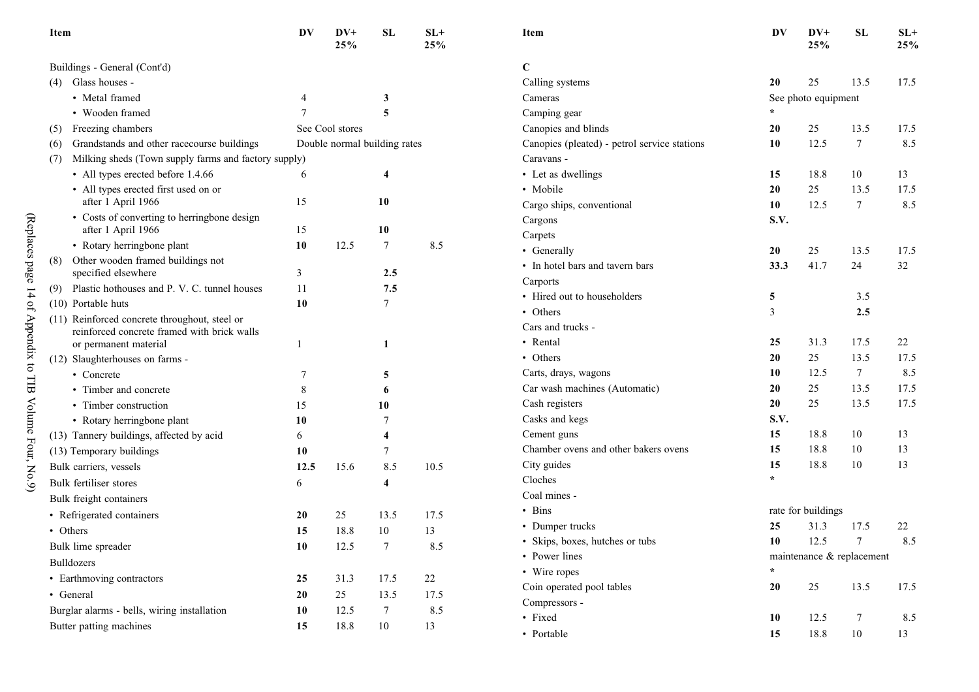| Item                                                                                         | DV   | $DV+$<br>25%    | SL                           | $SL+$<br>25% | Item                                         | DV        | $DV+$<br>25%              | ${\bf SL}$ | $SL+$<br>25% |
|----------------------------------------------------------------------------------------------|------|-----------------|------------------------------|--------------|----------------------------------------------|-----------|---------------------------|------------|--------------|
| Buildings - General (Cont'd)                                                                 |      |                 |                              |              | $\mathbf C$                                  |           |                           |            |              |
| (4) Glass houses -                                                                           |      |                 |                              |              | Calling systems                              | 20        | 25                        | 13.5       | 17.5         |
| • Metal framed                                                                               | 4    |                 | 3                            |              | Cameras                                      |           | See photo equipment       |            |              |
| • Wooden framed                                                                              |      |                 | 5                            |              | Camping gear                                 | $\star$   |                           |            |              |
| (5) Freezing chambers                                                                        |      | See Cool stores |                              |              | Canopies and blinds                          | 20        | 25                        | 13.5       | 17.5         |
| Grandstands and other racecourse buildings<br>(6)                                            |      |                 | Double normal building rates |              | Canopies (pleated) - petrol service stations | 10        | 12.5                      | $\tau$     | 8.5          |
| Milking sheds (Town supply farms and factory supply)<br>(7)                                  |      |                 |                              |              | Caravans -                                   |           |                           |            |              |
| • All types erected before 1.4.66                                                            | 6    |                 | 4                            |              | • Let as dwellings                           | 15        | 18.8                      | 10         | 13           |
| • All types erected first used on or                                                         |      |                 |                              |              | • Mobile                                     | 20        | 25                        | 13.5       | 17.5         |
| after 1 April 1966                                                                           | 15   |                 | 10                           |              | Cargo ships, conventional                    | 10        | 12.5                      | $\tau$     | 8.5          |
| • Costs of converting to herringbone design                                                  |      |                 |                              |              | Cargons                                      | S.V.      |                           |            |              |
| after 1 April 1966                                                                           | 15   |                 | 10                           |              | Carpets                                      |           |                           |            |              |
| • Rotary herringbone plant                                                                   | 10   | 12.5            | 7                            | 8.5          | • Generally                                  | <b>20</b> | 25                        | 13.5       | 17.5         |
| Other wooden framed buildings not<br>(8)                                                     |      |                 | 2.5                          |              | • In hotel bars and tavern bars              | 33.3      | 41.7                      | 24         | 32           |
| specified elsewhere                                                                          | 3    |                 |                              |              | Carports                                     |           |                           |            |              |
| (9) Plastic hothouses and P. V. C. tunnel houses<br>(10) Portable huts                       | 11   |                 | 7.5<br>7                     |              | • Hired out to householders                  | 5         |                           | 3.5        |              |
|                                                                                              | 10   |                 |                              |              | • Others                                     | 3         |                           | 2.5        |              |
| (11) Reinforced concrete throughout, steel or<br>reinforced concrete framed with brick walls |      |                 |                              |              | Cars and trucks -                            |           |                           |            |              |
| or permanent material                                                                        |      |                 | 1                            |              | • Rental                                     | 25        | 31.3                      | 17.5       | 22           |
| (12) Slaughterhouses on farms -                                                              |      |                 |                              |              | • Others                                     | 20        | 25                        | 13.5       | 17.5         |
| • Concrete                                                                                   | 7    |                 | 5                            |              | Carts, drays, wagons                         | 10        | 12.5                      | 7          | 8.5          |
| • Timber and concrete                                                                        | 8    |                 | 6                            |              | Car wash machines (Automatic)                | 20        | 25                        | 13.5       | 17.5         |
| • Timber construction                                                                        | 15   |                 | 10                           |              | Cash registers                               | 20        | 25                        | 13.5       | 17.5         |
| • Rotary herringbone plant                                                                   | 10   |                 |                              |              | Casks and kegs                               | S.V.      |                           |            |              |
| (13) Tannery buildings, affected by acid                                                     | 6    |                 | 4                            |              | Cement guns                                  | 15        | 18.8                      | 10         | 13           |
| (13) Temporary buildings                                                                     | 10   |                 | 7                            |              | Chamber ovens and other bakers ovens         | 15        | 18.8                      | 10         | 13           |
| Bulk carriers, vessels                                                                       | 12.5 | 15.6            | 8.5                          | 10.5         | City guides                                  | 15        | 18.8                      | 10         | 13           |
| Bulk fertiliser stores                                                                       | 6    |                 | 4                            |              | Cloches                                      | $\star$   |                           |            |              |
| Bulk freight containers                                                                      |      |                 |                              |              | Coal mines -                                 |           |                           |            |              |
| • Refrigerated containers                                                                    | 20   | 25              | 13.5                         | 17.5         | • Bins                                       |           | rate for buildings        |            |              |
| • Others                                                                                     | 15   | 18.8            | 10                           | 13           | • Dumper trucks                              | 25        | 31.3                      | 17.5       | 22           |
| Bulk lime spreader                                                                           | 10   | 12.5            | 7                            | 8.5          | • Skips, boxes, hutches or tubs              | 10        | 12.5                      | $\tau$     | 8.5          |
|                                                                                              |      |                 |                              |              | • Power lines                                |           | maintenance & replacement |            |              |
| Bulldozers                                                                                   |      |                 |                              |              | • Wire ropes                                 |           |                           |            |              |
| • Earthmoving contractors                                                                    | 25   | 31.3            | 17.5                         | 22           | Coin operated pool tables                    | 20        | 25                        | 13.5       | 17.5         |
| • General                                                                                    | 20   | 25              | 13.5                         | 17.5         | Compressors -                                |           |                           |            |              |
| Burglar alarms - bells, wiring installation                                                  | 10   | 12.5            | 7                            | 8.5          | • Fixed                                      | 10        | 12.5                      | 7          | 8.5          |
| Butter patting machines                                                                      | 15   | 18.8            | 10                           | 13           | • Portable                                   | 15        | 18.8                      | 10         | 13           |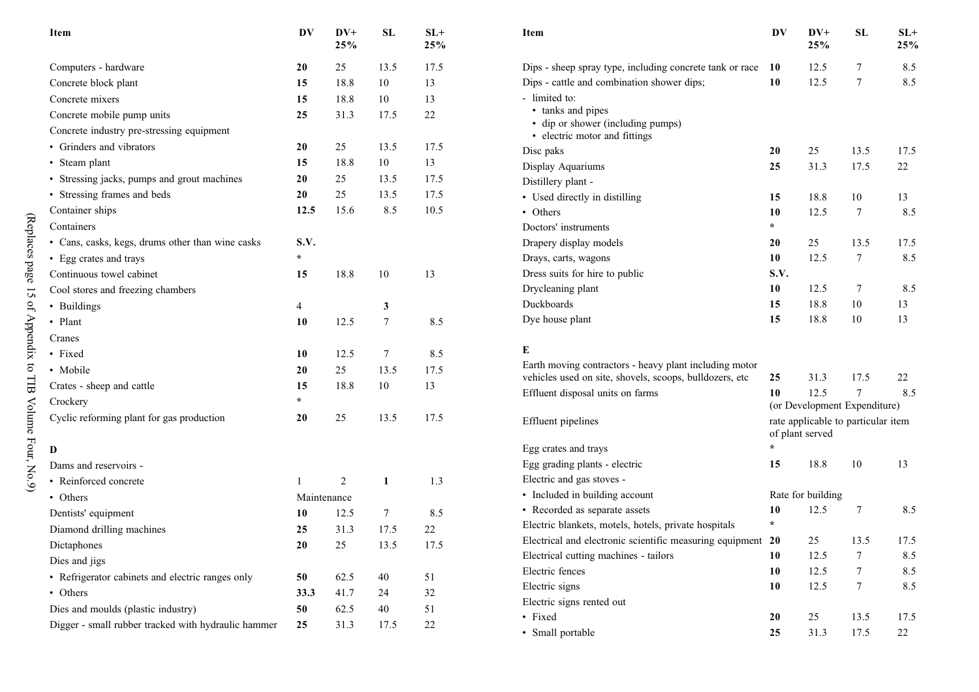| Item                                                | DV           | $DV+$<br>25% | SL     | $SL+$<br>25% | Item                                                               | DV      | $DV+$<br>25%                                          | SL     | $SL+$<br>25% |
|-----------------------------------------------------|--------------|--------------|--------|--------------|--------------------------------------------------------------------|---------|-------------------------------------------------------|--------|--------------|
| Computers - hardware                                | 20           | 25           | 13.5   | 17.5         | Dips - sheep spray type, including concrete tank or race 10        |         | 12.5                                                  | 7      | 8.5          |
| Concrete block plant                                | 15           | 18.8         | 10     | 13           | Dips - cattle and combination shower dips;                         | 10      | 12.5                                                  | $\tau$ | 8.5          |
| Concrete mixers                                     | 15           | 18.8         | 10     | 13           | - limited to:                                                      |         |                                                       |        |              |
| Concrete mobile pump units                          | 25           | 31.3         | 17.5   | 22           | • tanks and pipes                                                  |         |                                                       |        |              |
| Concrete industry pre-stressing equipment           |              |              |        |              | • dip or shower (including pumps)<br>• electric motor and fittings |         |                                                       |        |              |
| • Grinders and vibrators                            | 20           | 25           | 13.5   | 17.5         | Disc paks                                                          | 20      | 25                                                    | 13.5   | 17.5         |
| • Steam plant                                       | 15           | 18.8         | 10     | 13           | Display Aquariums                                                  | 25      | 31.3                                                  | 17.5   | 22           |
| • Stressing jacks, pumps and grout machines         | $20\,$       | 25           | 13.5   | 17.5         | Distillery plant -                                                 |         |                                                       |        |              |
| • Stressing frames and beds                         | ${\bf 20}$   | 25           | 13.5   | 17.5         | • Used directly in distilling                                      | 15      | 18.8                                                  | $10\,$ | 13           |
| Container ships                                     | 12.5         | 15.6         | 8.5    | 10.5         | • Others                                                           | 10      | 12.5                                                  | $\tau$ | 8.5          |
| Containers                                          |              |              |        |              | Doctors' instruments                                               | $\star$ |                                                       |        |              |
| • Cans, casks, kegs, drums other than wine casks    | S.V.         |              |        |              | Drapery display models                                             | 20      | 25                                                    | 13.5   | 17.5         |
| • Egg crates and trays                              | $\star$      |              |        |              | Drays, carts, wagons                                               | 10      | 12.5                                                  | $\tau$ | 8.5          |
| Continuous towel cabinet                            | 15           | 18.8         | $10\,$ | 13           | Dress suits for hire to public                                     | S.V.    |                                                       |        |              |
| Cool stores and freezing chambers                   |              |              |        |              | Drycleaning plant                                                  | 10      | 12.5                                                  | $\tau$ | 8.5          |
| • Buildings                                         | 4            |              | 3      |              | Duckboards                                                         | 15      | 18.8                                                  | 10     | 13           |
| • Plant                                             | 10           | 12.5         | 7      | 8.5          | Dye house plant                                                    | 15      | 18.8                                                  | 10     | 13           |
| Cranes                                              |              |              |        |              |                                                                    |         |                                                       |        |              |
| • Fixed                                             | 10           | 12.5         | $\tau$ | 8.5          | Е                                                                  |         |                                                       |        |              |
| • Mobile                                            | 20           | 25           | 13.5   | 17.5         | Earth moving contractors - heavy plant including motor             |         |                                                       |        |              |
| Crates - sheep and cattle                           | 15           | 18.8         | 10     | 13           | vehicles used on site, shovels, scoops, bulldozers, etc            | 25      | 31.3                                                  | 17.5   | 22           |
| Crockery                                            | $\star$      |              |        |              | Effluent disposal units on farms                                   | 10      | 12.5<br>(or Development Expenditure)                  | 7      | 8.5          |
| Cyclic reforming plant for gas production           | $20\,$       | 25           | 13.5   | 17.5         | Effluent pipelines                                                 |         | rate applicable to particular item<br>of plant served |        |              |
| D                                                   |              |              |        |              | Egg crates and trays                                               | $\star$ |                                                       |        |              |
| Dams and reservoirs -                               |              |              |        |              | Egg grading plants - electric                                      | 15      | 18.8                                                  | 10     | 13           |
| • Reinforced concrete                               | $\mathbf{1}$ | 2            | 1      | 1.3          | Electric and gas stoves -                                          |         |                                                       |        |              |
| • Others                                            | Maintenance  |              |        |              | • Included in building account                                     |         | Rate for building                                     |        |              |
| Dentists' equipment                                 | 10           | 12.5         | $\tau$ | 8.5          | • Recorded as separate assets                                      | 10      | 12.5                                                  | 7      | 8.5          |
| Diamond drilling machines                           | 25           | 31.3         | 17.5   | $22\,$       | Electric blankets, motels, hotels, private hospitals               | $\star$ |                                                       |        |              |
| Dictaphones                                         | 20           | 25           | 13.5   | 17.5         | Electrical and electronic scientific measuring equipment 20        |         | 25                                                    | 13.5   | 17.5         |
| Dies and jigs                                       |              |              |        |              | Electrical cutting machines - tailors                              | 10      | 12.5                                                  | 7      | 8.5          |
| • Refrigerator cabinets and electric ranges only    | 50           | 62.5         | 40     | 51           | Electric fences                                                    | 10      | 12.5                                                  | 7      | 8.5          |
| • Others                                            | 33.3         | 41.7         | 24     | 32           | Electric signs                                                     | 10      | 12.5                                                  | $\tau$ | 8.5          |
| Dies and moulds (plastic industry)                  | 50           | 62.5         | 40     | 51           | Electric signs rented out                                          |         |                                                       |        |              |
| Digger - small rubber tracked with hydraulic hammer | 25           | 31.3         | 17.5   | 22           | • Fixed                                                            | 20      | 25                                                    | 13.5   | 17.5         |
|                                                     |              |              |        |              | • Small portable                                                   | 25      | 31.3                                                  | 17.5   | 22           |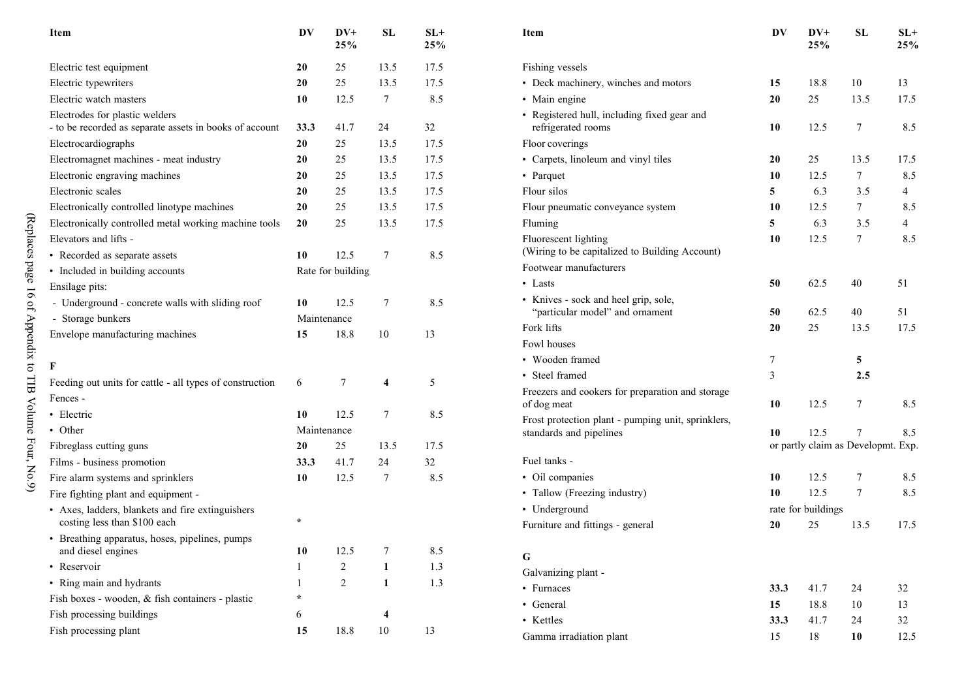| Item                                                                             | DV           | $DV+$<br>25%      | <b>SL</b>               | $SL+$<br>25% |  |
|----------------------------------------------------------------------------------|--------------|-------------------|-------------------------|--------------|--|
| Electric test equipment                                                          | 20           | 25                | 13.5                    | 17.5         |  |
| Electric typewriters                                                             | 20           | 25                | 13.5                    | 17.5         |  |
| Electric watch masters                                                           | 10           | 12.5              | 7                       | 8.5          |  |
| Electrodes for plastic welders                                                   |              |                   |                         |              |  |
| - to be recorded as separate assets in books of account                          | 33.3         | 41.7              | 24                      | 32           |  |
| Electrocardiographs                                                              | 20           | 25                | 13.5                    | 17.5         |  |
| Electromagnet machines - meat industry                                           | 20           | 25                | 13.5                    | 17.5         |  |
| Electronic engraving machines                                                    | 20           | 25                | 13.5                    | 17.5         |  |
| Electronic scales                                                                | 20           | 25                | 13.5                    | 17.5         |  |
| Electronically controlled linotype machines                                      | 20           | 25                | 13.5                    | 17.5         |  |
| Electronically controlled metal working machine tools                            | 20           | 25                | 13.5                    | 17.5         |  |
| Elevators and lifts -                                                            |              |                   |                         |              |  |
| • Recorded as separate assets                                                    | 10           | 12.5              | 7                       | 8.5          |  |
| • Included in building accounts                                                  |              | Rate for building |                         |              |  |
| Ensilage pits:                                                                   |              |                   |                         |              |  |
| - Underground - concrete walls with sliding roof                                 | 10           | 12.5              | 7                       | 8.5          |  |
| - Storage bunkers                                                                | Maintenance  |                   |                         |              |  |
| Envelope manufacturing machines                                                  | 15           | 18.8              | 10                      | 13           |  |
|                                                                                  |              |                   |                         |              |  |
| F                                                                                |              |                   |                         |              |  |
| Feeding out units for cattle - all types of construction                         | 6            | 7                 | 4                       | 5            |  |
| Fences -                                                                         |              |                   |                         |              |  |
| • Electric                                                                       | 10           | 12.5              | 7                       | 8.5          |  |
| • Other                                                                          | Maintenance  |                   |                         |              |  |
| Fibreglass cutting guns                                                          | 20           | 25                | 13.5                    | 17.5         |  |
| Films - business promotion                                                       | 33.3         | 41.7              | 24                      | 32           |  |
| Fire alarm systems and sprinklers                                                | 10           | 12.5              | 7                       | 8.5          |  |
| Fire fighting plant and equipment -                                              |              |                   |                         |              |  |
| • Axes, ladders, blankets and fire extinguishers<br>costing less than \$100 each | $\star$      |                   |                         |              |  |
| • Breathing apparatus, hoses, pipelines, pumps<br>and diesel engines             | 10           | 12.5              | 7                       | 8.5          |  |
| • Reservoir                                                                      | 1            | 2                 | 1                       | 1.3          |  |
| • Ring main and hydrants                                                         | $\mathbf{1}$ | $\overline{c}$    | 1                       | 1.3          |  |
| Fish boxes - wooden, & fish containers - plastic                                 | $\star$      |                   |                         |              |  |
| Fish processing buildings                                                        | 6            |                   | $\overline{\mathbf{4}}$ |              |  |
| Fish processing plant                                                            | 15           | 18.8              | 10                      | 13           |  |

| <b>Item</b>                                                             | DV   | $DV+$<br>25%       | <b>SL</b>                          | $SL+$<br>25% |
|-------------------------------------------------------------------------|------|--------------------|------------------------------------|--------------|
| Fishing vessels                                                         |      |                    |                                    |              |
| • Deck machinery, winches and motors                                    | 15   | 18.8               | 10                                 | 13           |
| • Main engine                                                           | 20   | 25                 | 13.5                               | 17.5         |
| • Registered hull, including fixed gear and<br>refrigerated rooms       | 10   | 12.5               | 7                                  | 8.5          |
| Floor coverings                                                         |      |                    |                                    |              |
| • Carpets, linoleum and vinyl tiles                                     | 20   | 25                 | 13.5                               | 17.5         |
| • Parquet                                                               | 10   | 12.5               | 7                                  | 8.5          |
| Flour silos                                                             | 5    | 6.3                | 3.5                                | 4            |
| Flour pneumatic conveyance system                                       | 10   | 12.5               | 7                                  | 8.5          |
| Fluming                                                                 | 5    | 6.3                | 3.5                                | 4            |
| Fluorescent lighting<br>(Wiring to be capitalized to Building Account)  | 10   | 12.5               | 7                                  | 8.5          |
| Footwear manufacturers                                                  |      |                    |                                    |              |
| $\bullet$ Lasts                                                         | 50   | 62.5               | 40                                 | 51           |
| • Knives - sock and heel grip, sole,<br>"particular model" and ornament | 50   | 62.5               | 40                                 | 51           |
| Fork lifts                                                              | 20   | 25                 | 13.5                               | 17.5         |
| Fowl houses                                                             |      |                    |                                    |              |
| • Wooden framed                                                         | 7    |                    | 5                                  |              |
| • Steel framed                                                          | 3    |                    | 2.5                                |              |
| Freezers and cookers for preparation and storage<br>of dog meat         | 10   | 12.5               | 7                                  | 8.5          |
| Frost protection plant - pumping unit, sprinklers,                      |      |                    |                                    |              |
| standards and pipelines                                                 | 10   | 12.5               | 7                                  | 8.5          |
|                                                                         |      |                    | or partly claim as Developmt. Exp. |              |
| Fuel tanks -                                                            |      |                    |                                    |              |
| • Oil companies                                                         | 10   | 12.5               | 7<br>7                             | 8.5          |
| • Tallow (Freezing industry)                                            | 10   | 12.5               |                                    | 8.5          |
| • Underground                                                           |      | rate for buildings |                                    |              |
| Furniture and fittings - general                                        | 20   | 25                 | 13.5                               | 17.5         |
| G                                                                       |      |                    |                                    |              |
| Galvanizing plant -                                                     |      |                    |                                    |              |
| • Furnaces                                                              | 33.3 | 41.7               | 24                                 | 32           |
| • General                                                               | 15   | 18.8               | 10                                 | 13           |
| • Kettles                                                               | 33.3 | 41.7               | 24                                 | 32           |
| Gamma irradiation plant                                                 | 15   | 18                 | 10                                 | 12.5         |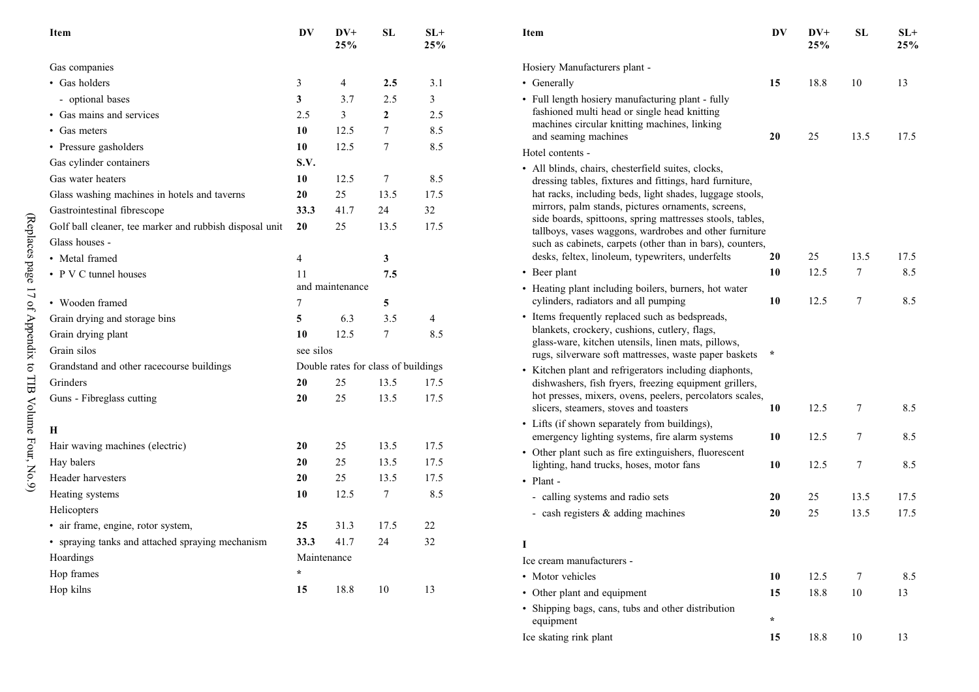| Item                                                    | DV             | $DV+$<br>25%    | <b>SL</b>                           | $SL+$<br>25% | Iter                  |
|---------------------------------------------------------|----------------|-----------------|-------------------------------------|--------------|-----------------------|
| Gas companies                                           |                |                 |                                     |              | Hos                   |
| • Gas holders                                           | $\mathfrak{Z}$ | $\overline{4}$  | 2.5                                 | 3.1          | $\bullet$ G           |
| - optional bases                                        | 3              | 3.7             | 2.5                                 | 3            | $\cdot$ F             |
| • Gas mains and services                                | 2.5            | 3               | $\overline{2}$                      | 2.5          | fε                    |
| • Gas meters                                            | 10             | 12.5            | 7                                   | 8.5          | m                     |
| • Pressure gasholders                                   | 10             | 12.5            | 7                                   | 8.5          | a <sub>1</sub><br>Hot |
| Gas cylinder containers                                 | S.V.           |                 |                                     |              | • A                   |
| Gas water heaters                                       | 10             | 12.5            | 7                                   | 8.5          | d                     |
| Glass washing machines in hotels and taverns            | 20             | 25              | 13.5                                | 17.5         | h.                    |
| Gastrointestinal fibrescope                             | 33.3           | 41.7            | 24                                  | 32           | m                     |
| Golf ball cleaner, tee marker and rubbish disposal unit | 20             | 25              | 13.5                                | 17.5         | si<br>ta              |
| Glass houses -                                          |                |                 |                                     |              | sı                    |
| • Metal framed                                          | $\overline{4}$ |                 | 3                                   |              | d                     |
| • P V C tunnel houses                                   | 11             |                 | 7.5                                 |              | $\cdot$ B             |
|                                                         |                | and maintenance |                                     |              | • H                   |
| • Wooden framed                                         | 7              |                 | 5                                   |              | $\mathbf{C}$          |
| Grain drying and storage bins                           | 5              | 6.3             | 3.5                                 | 4            | • It                  |
| Grain drying plant                                      | 10             | 12.5            | 7                                   | 8.5          | $\mathbf{b}$<br>g.    |
| Grain silos                                             | see silos      |                 |                                     |              | r <sub>l</sub>        |
| Grandstand and other racecourse buildings               |                |                 | Double rates for class of buildings |              | $\cdot$ K             |
| Grinders                                                | 20             | 25              | 13.5                                | 17.5         | d                     |
| Guns - Fibreglass cutting                               | 20             | 25              | 13.5                                | 17.5         | h١                    |
|                                                         |                |                 |                                     |              | sl                    |
| Н                                                       |                |                 |                                     |              | • L<br>e <sub>1</sub> |
| Hair waving machines (electric)                         | 20             | 25              | 13.5                                | 17.5         | $\cdot$ 0             |
| Hay balers                                              | 20             | 25              | 13.5                                | 17.5         | li                    |
| Header harvesters                                       | 20             | 25              | 13.5                                | 17.5         | $\cdot$ P             |
| Heating systems                                         | 10             | 12.5            | 7                                   | 8.5          |                       |
| Helicopters                                             |                |                 |                                     |              |                       |
| · air frame, engine, rotor system,                      | 25             | 31.3            | 17.5                                | 22           |                       |
| • spraying tanks and attached spraying mechanism        | 33.3           | 41.7            | 24                                  | 32           | I                     |
| Hoardings                                               |                | Maintenance     |                                     |              | Ice                   |
| Hop frames                                              | $\star$        |                 |                                     |              | $\bm{\cdot}$ N        |
| Hop kilns                                               | 15             | 18.8            | 10                                  | 13           | $\cdot$ 0             |
|                                                         |                |                 |                                     |              |                       |

| L+<br>5%                | Item                                                                                                                | DV      | $DV+$<br>25% | <b>SL</b> | $SL+$<br>25% |
|-------------------------|---------------------------------------------------------------------------------------------------------------------|---------|--------------|-----------|--------------|
|                         | Hosiery Manufacturers plant -                                                                                       |         |              |           |              |
| 3.1                     | • Generally                                                                                                         | 15      | 18.8         | 10        | 13           |
| 3                       | · Full length hosiery manufacturing plant - fully                                                                   |         |              |           |              |
| 2.5                     | fashioned multi head or single head knitting                                                                        |         |              |           |              |
| 8.5                     | machines circular knitting machines, linking<br>and seaming machines                                                | 20      | 25           | 13.5      | 17.5         |
| 8.5                     | Hotel contents -                                                                                                    |         |              |           |              |
|                         | · All blinds, chairs, chesterfield suites, clocks,                                                                  |         |              |           |              |
| 8.5                     | dressing tables, fixtures and fittings, hard furniture,                                                             |         |              |           |              |
| 7.5                     | hat racks, including beds, light shades, luggage stools,                                                            |         |              |           |              |
| $\overline{c}$          | mirrors, palm stands, pictures ornaments, screens,<br>side boards, spittoons, spring mattresses stools, tables,     |         |              |           |              |
| 7.5                     | tallboys, vases waggons, wardrobes and other furniture<br>such as cabinets, carpets (other than in bars), counters, |         |              |           |              |
|                         | desks, feltex, linoleum, typewriters, underfelts                                                                    | 20      | 25           | 13.5      | 17.5         |
|                         | • Beer plant                                                                                                        | 10      | 12.5         | 7         | 8.5          |
|                         | • Heating plant including boilers, burners, hot water                                                               |         |              |           |              |
|                         | cylinders, radiators and all pumping                                                                                | 10      | 12.5         | 7         | 8.5          |
| 4                       | • Items frequently replaced such as bedspreads,                                                                     |         |              |           |              |
| 8.5                     | blankets, crockery, cushions, cutlery, flags,<br>glass-ware, kitchen utensils, linen mats, pillows,                 |         |              |           |              |
|                         | rugs, silverware soft mattresses, waste paper baskets                                                               | $\star$ |              |           |              |
| ıgs                     | • Kitchen plant and refrigerators including diaphonts,                                                              |         |              |           |              |
| 7.5                     | dishwashers, fish fryers, freezing equipment grillers,                                                              |         |              |           |              |
| 7.5                     | hot presses, mixers, ovens, peelers, percolators scales,                                                            | 10      | 12.5         | 7         | 8.5          |
|                         | slicers, steamers, stoves and toasters                                                                              |         |              |           |              |
|                         | • Lifts (if shown separately from buildings),<br>emergency lighting systems, fire alarm systems                     | 10      | 12.5         | 7         | 8.5          |
| 7.5                     | • Other plant such as fire extinguishers, fluorescent                                                               |         |              |           |              |
| 7.5                     | lighting, hand trucks, hoses, motor fans                                                                            | 10      | 12.5         | 7         | 8.5          |
| 7.5                     | • Plant -                                                                                                           |         |              |           |              |
| 8.5                     | - calling systems and radio sets                                                                                    | 20      | 25           | 13.5      | 17.5         |
|                         | - cash registers & adding machines                                                                                  | 20      | 25           | 13.5      | 17.5         |
| $\overline{\mathbf{c}}$ |                                                                                                                     |         |              |           |              |
| $\overline{\mathbf{c}}$ | I                                                                                                                   |         |              |           |              |
|                         | Ice cream manufacturers -                                                                                           |         |              |           |              |
|                         | • Motor vehicles                                                                                                    | 10      | 12.5         | 7         | 8.5          |
|                         | • Other plant and equipment                                                                                         | 15      | 18.8         | 10        | 13           |
|                         | • Shipping bags, cans, tubs and other distribution                                                                  |         |              |           |              |
|                         | equipment                                                                                                           | $\star$ |              |           |              |
|                         | Ice skating rink plant                                                                                              | 15      | 18.8         | 10        | 13           |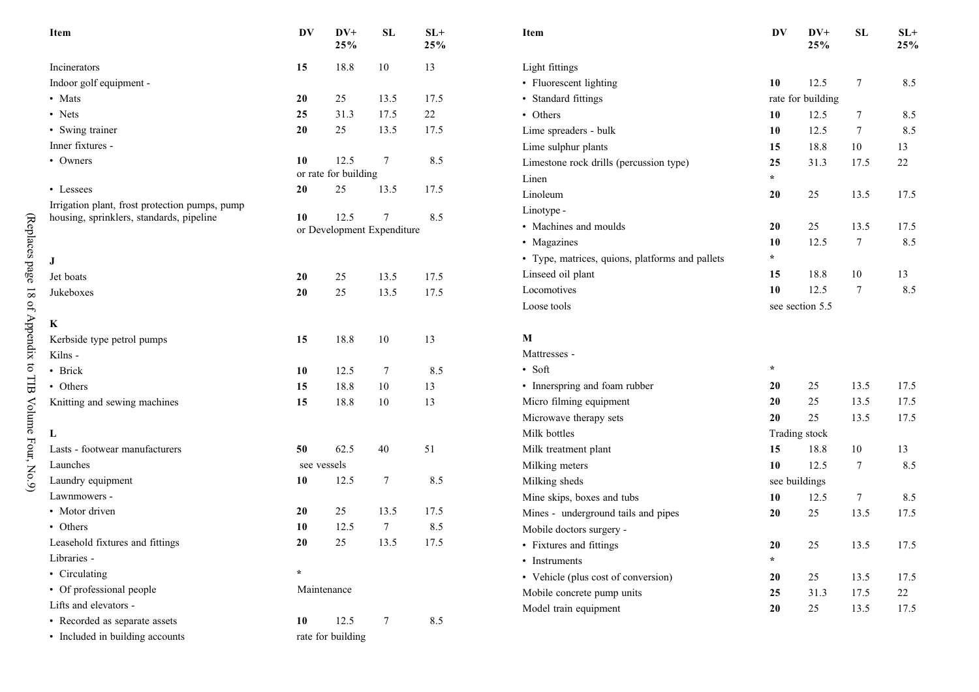| Item                                           | DV          | $DV+$<br>25%         | SL                              | $\mathbf{SL+}$<br>25% | Item                                            | DV      | $DV+$<br>25%      | ${\bf SL}$ | $SL+$<br>25% |
|------------------------------------------------|-------------|----------------------|---------------------------------|-----------------------|-------------------------------------------------|---------|-------------------|------------|--------------|
| Incinerators                                   | 15          | 18.8                 | 10                              | 13                    | Light fittings                                  |         |                   |            |              |
| Indoor golf equipment -                        |             |                      |                                 |                       | • Fluorescent lighting                          | 10      | 12.5              | $\tau$     | 8.5          |
| • Mats                                         | 20          | 25                   | 13.5                            | 17.5                  | • Standard fittings                             |         | rate for building |            |              |
| • Nets                                         | 25          | 31.3                 | 17.5                            | 22                    | • Others                                        | 10      | 12.5              | 7          | 8.5          |
| • Swing trainer                                | 20          | 25                   | 13.5                            | 17.5                  | Lime spreaders - bulk                           | 10      | 12.5              | 7          | 8.5          |
| Inner fixtures -                               |             |                      |                                 |                       | Lime sulphur plants                             | 15      | 18.8              | 10         | 13           |
| • Owners                                       | 10          | 12.5                 | $\tau$                          | 8.5                   | Limestone rock drills (percussion type)         | 25      | 31.3              | 17.5       | 22           |
|                                                |             | or rate for building |                                 |                       | Linen                                           | $\star$ |                   |            |              |
| • Lessees                                      | 20          | 25                   | 13.5                            | 17.5                  | Linoleum                                        | 20      | 25                | 13.5       | 17.5         |
| Irrigation plant, frost protection pumps, pump |             |                      |                                 |                       | Linotype -                                      |         |                   |            |              |
| housing, sprinklers, standards, pipeline       | 10          | 12.5                 | 7<br>or Development Expenditure | 8.5                   | • Machines and moulds                           | 20      | 25                | 13.5       | 17.5         |
|                                                |             |                      |                                 |                       | • Magazines                                     | 10      | 12.5              | $\tau$     | 8.5          |
| $\bf J$                                        |             |                      |                                 |                       | • Type, matrices, quions, platforms and pallets | $\star$ |                   |            |              |
| Jet boats                                      | 20          | 25                   | 13.5                            | 17.5                  | Linseed oil plant                               | 15      | 18.8              | 10         | 13           |
| Jukeboxes                                      | 20          | 25                   | 13.5                            | 17.5                  | Locomotives                                     | 10      | 12.5              | $\tau$     | 8.5          |
|                                                |             |                      |                                 |                       | Loose tools                                     |         | see section 5.5   |            |              |
| $\bf K$                                        |             |                      |                                 |                       |                                                 |         |                   |            |              |
| Kerbside type petrol pumps                     | 15          | 18.8                 | $10\,$                          | 13                    | $\mathbf{M}$                                    |         |                   |            |              |
| Kilns -                                        |             |                      |                                 |                       | Mattresses -                                    |         |                   |            |              |
| • Brick                                        | 10          | 12.5                 | 7                               | 8.5                   | • Soft                                          | $\ast$  |                   |            |              |
| • Others                                       | 15          | 18.8                 | 10                              | 13                    | • Innerspring and foam rubber                   | 20      | 25                | 13.5       | 17.5         |
| Knitting and sewing machines                   | 15          | 18.8                 | $10\,$                          | 13                    | Micro filming equipment                         | 20      | 25                | 13.5       | 17.5         |
|                                                |             |                      |                                 |                       | Microwave therapy sets                          | 20      | 25                | 13.5       | 17.5         |
| L                                              |             |                      |                                 |                       | Milk bottles                                    |         | Trading stock     |            |              |
| Lasts - footwear manufacturers                 | 50          | 62.5                 | 40                              | 51                    | Milk treatment plant                            | 15      | 18.8              | 10         | 13           |
| Launches                                       | see vessels |                      |                                 |                       | Milking meters                                  | 10      | 12.5              | $\tau$     | 8.5          |
| Laundry equipment                              | 10          | 12.5                 | 7                               | 8.5                   | Milking sheds                                   |         | see buildings     |            |              |
| Lawnmowers -                                   |             |                      |                                 |                       | Mine skips, boxes and tubs                      | 10      | 12.5              | $\tau$     | 8.5          |
| • Motor driven                                 | 20          | 25                   | 13.5                            | 17.5                  | Mines - underground tails and pipes             | 20      | $25\,$            | 13.5       | 17.5         |
| • Others                                       | 10          | 12.5                 | $\tau$                          | 8.5                   | Mobile doctors surgery -                        |         |                   |            |              |
| Leasehold fixtures and fittings                | 20          | 25                   | 13.5                            | 17.5                  | • Fixtures and fittings                         | 20      | 25                | 13.5       | 17.5         |
| Libraries -                                    |             |                      |                                 |                       | • Instruments                                   | $\star$ |                   |            |              |
| • Circulating                                  | $\star$     |                      |                                 |                       | • Vehicle (plus cost of conversion)             | 20      | 25                | 13.5       | 17.5         |
| • Of professional people                       |             | Maintenance          |                                 |                       | Mobile concrete pump units                      | 25      | 31.3              | 17.5       | 22           |
| Lifts and elevators -                          |             |                      |                                 |                       | Model train equipment                           | 20      | $25\,$            | 13.5       | 17.5         |
| • Recorded as separate assets                  | 10          | 12.5                 | 7                               | 8.5                   |                                                 |         |                   |            |              |
| • Included in building accounts                |             | rate for building    |                                 |                       |                                                 |         |                   |            |              |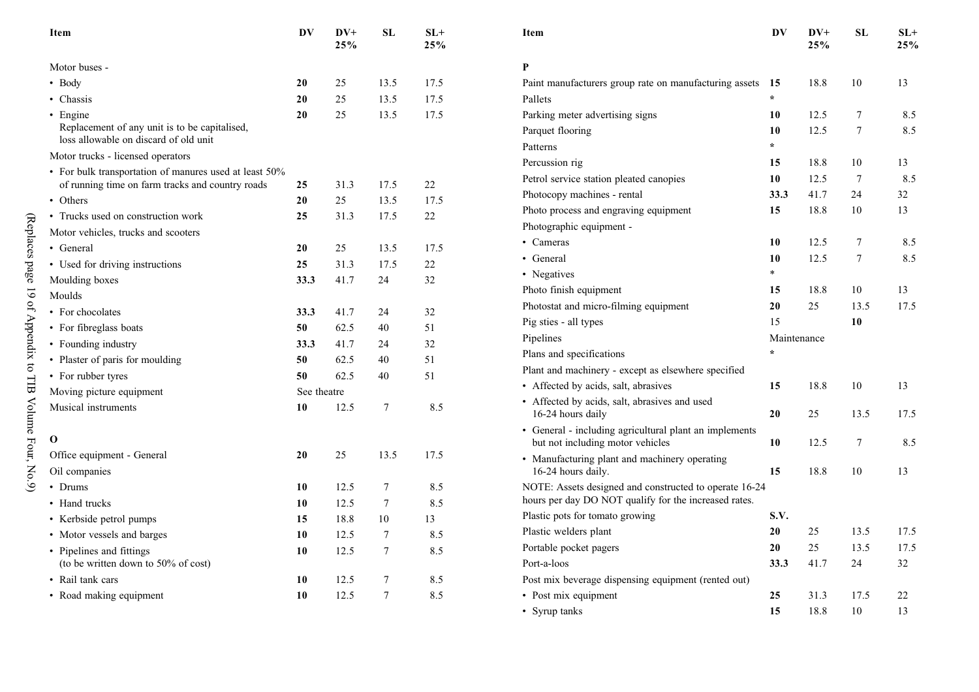| Item                                                                                   | DV          | $DV+$<br>25% | <b>SL</b>       | $SL+$<br>25% | Item                                                                                       | DV                     | $DV+$<br>25% | SL               | $SL+$<br>25% |
|----------------------------------------------------------------------------------------|-------------|--------------|-----------------|--------------|--------------------------------------------------------------------------------------------|------------------------|--------------|------------------|--------------|
| Motor buses -                                                                          |             |              |                 |              | P                                                                                          |                        |              |                  |              |
| • Body                                                                                 | 20          | 25           | 13.5            | 17.5         | Paint manufacturers group rate on manufacturing assets 15                                  |                        | 18.8         | 10               | 13           |
| • Chassis                                                                              | 20          | 25           | 13.5            | 17.5         | Pallets                                                                                    | $\star$                |              |                  |              |
| • Engine                                                                               | 20          | 25           | 13.5            | 17.5         | Parking meter advertising signs                                                            | 10                     | 12.5         | $\boldsymbol{7}$ | 8.5          |
| Replacement of any unit is to be capitalised,<br>loss allowable on discard of old unit |             |              |                 |              | Parquet flooring<br>Patterns                                                               | 10<br>$\star$          | 12.5         | $\overline{7}$   | 8.5          |
| Motor trucks - licensed operators                                                      |             |              |                 |              | Percussion rig                                                                             | 15                     | 18.8         | 10               | 13           |
| • For bulk transportation of manures used at least 50%                                 |             |              |                 |              | Petrol service station pleated canopies                                                    | 10                     | 12.5         | 7                | 8.5          |
| of running time on farm tracks and country roads                                       | 25          | 31.3         | 17.5            | 22           | Photocopy machines - rental                                                                | 33.3                   | 41.7         | 24               | 32           |
| • Others                                                                               | 20          | 25           | 13.5            | 17.5         | Photo process and engraving equipment                                                      | 15                     | 18.8         | 10               | 13           |
| • Trucks used on construction work                                                     | 25          | 31.3         | 17.5            | 22           | Photographic equipment -                                                                   |                        |              |                  |              |
| Motor vehicles, trucks and scooters                                                    |             |              |                 |              | • Cameras                                                                                  | 10                     | 12.5         | $\tau$           | 8.5          |
| • General                                                                              | 20          | 25           | 13.5            | 17.5         | • General                                                                                  | 10                     | 12.5         | $\overline{7}$   | 8.5          |
| • Used for driving instructions                                                        | 25          | 31.3         | 17.5            | 22           |                                                                                            | $\ast$                 |              |                  |              |
| Moulding boxes                                                                         | 33.3        | 41.7         | 24              | 32           | • Negatives<br>Photo finish equipment                                                      |                        |              | 10               |              |
| Moulds                                                                                 |             |              |                 |              |                                                                                            | 15                     | 18.8         |                  | 13<br>17.5   |
| • For chocolates                                                                       | 33.3        | 41.7         | 24              | 32           | Photostat and micro-filming equipment                                                      | 20                     | 25           | 13.5             |              |
| • For fibreglass boats                                                                 | 50          | 62.5         | 40              | 51           | Pig sties - all types                                                                      | 15                     |              | 10               |              |
| • Founding industry                                                                    | 33.3        | 41.7         | 24              | 32           | Pipelines                                                                                  | Maintenance<br>$\star$ |              |                  |              |
| • Plaster of paris for moulding                                                        | 50          | 62.5         | 40              | 51           | Plans and specifications                                                                   |                        |              |                  |              |
| • For rubber tyres                                                                     | 50          | 62.5         | 40              | 51           | Plant and machinery - except as elsewhere specified                                        |                        |              |                  |              |
| Moving picture equipment                                                               | See theatre |              |                 |              | • Affected by acids, salt, abrasives                                                       | 15                     | 18.8         | 10               | 13           |
| Musical instruments                                                                    | 10          | 12.5         | $\tau$          | 8.5          | • Affected by acids, salt, abrasives and used<br>16-24 hours daily                         | 20                     | 25           | 13.5             | 17.5         |
| $\mathbf 0$                                                                            |             |              |                 |              | • General - including agricultural plant an implements<br>but not including motor vehicles | 10                     | 12.5         | $\overline{7}$   | 8.5          |
| Office equipment - General<br>Oil companies                                            | 20          | 25           | 13.5            | 17.5         | • Manufacturing plant and machinery operating<br>16-24 hours daily.                        | 15                     | 18.8         | 10               | 13           |
| • Drums                                                                                | 10          | 12.5         | 7               | 8.5          | NOTE: Assets designed and constructed to operate 16-24                                     |                        |              |                  |              |
| • Hand trucks                                                                          | 10          | 12.5         | 7               | 8.5          | hours per day DO NOT qualify for the increased rates.                                      |                        |              |                  |              |
| • Kerbside petrol pumps                                                                | 15          | 18.8         | 10              | 13           | Plastic pots for tomato growing                                                            | S.V.                   |              |                  |              |
| • Motor vessels and barges                                                             | 10          | 12.5         | 7               | 8.5          | Plastic welders plant                                                                      | 20                     | 25           | 13.5             | 17.5         |
| • Pipelines and fittings                                                               | 10          | 12.5         | 7               | 8.5          | Portable pocket pagers                                                                     | 20                     | 25           | 13.5             | 17.5         |
| (to be written down to 50% of cost)                                                    |             |              |                 |              | Port-a-loos                                                                                | 33.3                   | 41.7         | 24               | 32           |
| • Rail tank cars                                                                       | 10          | 12.5         | 7               | 8.5          | Post mix beverage dispensing equipment (rented out)                                        |                        |              |                  |              |
| • Road making equipment                                                                | 10          | 12.5         | $7\phantom{.0}$ | 8.5          | • Post mix equipment                                                                       | 25                     | 31.3         | 17.5             | 22           |
|                                                                                        |             |              |                 |              | • Syrup tanks                                                                              | 15                     | 18.8         | 10               | 13           |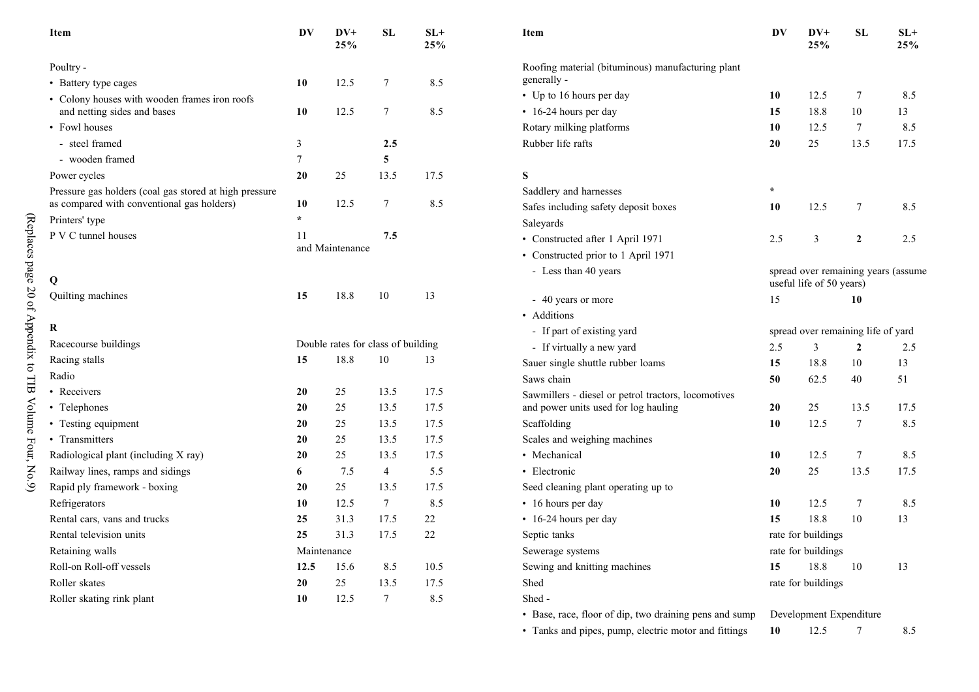| Item                                                   | DV      | $DV+$<br>25%                       | ${\bf SL}$     | $SL+$<br>25% | Item                                                   | DV      | $DV+$<br>25%                       | SL             | $SL+$<br>25%                        |
|--------------------------------------------------------|---------|------------------------------------|----------------|--------------|--------------------------------------------------------|---------|------------------------------------|----------------|-------------------------------------|
| Poultry -                                              |         |                                    |                |              | Roofing material (bituminous) manufacturing plant      |         |                                    |                |                                     |
| • Battery type cages                                   | 10      | 12.5                               | 7              | 8.5          | generally -                                            |         |                                    |                |                                     |
| • Colony houses with wooden frames iron roofs          |         |                                    |                |              | • Up to 16 hours per day                               | 10      | 12.5                               | 7              | 8.5                                 |
| and netting sides and bases                            | 10      | 12.5                               | $\tau$         | 8.5          | • 16-24 hours per day                                  | 15      | 18.8                               | 10             | 13                                  |
| • Fowl houses                                          |         |                                    |                |              | Rotary milking platforms                               | 10      | 12.5                               | 7              | 8.5                                 |
| - steel framed                                         | 3       |                                    | 2.5            |              | Rubber life rafts                                      | 20      | 25                                 | 13.5           | 17.5                                |
| - wooden framed                                        | $\tau$  |                                    | 5              |              |                                                        |         |                                    |                |                                     |
| Power cycles                                           | 20      | 25                                 | 13.5           | 17.5         | S                                                      |         |                                    |                |                                     |
| Pressure gas holders (coal gas stored at high pressure |         |                                    |                |              | Saddlery and harnesses                                 | $\star$ |                                    |                |                                     |
| as compared with conventional gas holders)             | 10      | 12.5                               | $\tau$         | 8.5          | Safes including safety deposit boxes                   | 10      | 12.5                               | $\tau$         | 8.5                                 |
| Printers' type                                         | $\star$ |                                    |                |              | Saleyards                                              |         |                                    |                |                                     |
| P V C tunnel houses                                    | 11      |                                    | 7.5            |              | • Constructed after 1 April 1971                       | 2.5     | 3                                  | $\overline{2}$ | 2.5                                 |
|                                                        |         | and Maintenance                    |                |              | • Constructed prior to 1 April 1971                    |         |                                    |                |                                     |
| Q                                                      |         |                                    |                |              | - Less than 40 years                                   |         | useful life of 50 years)           |                | spread over remaining years (assume |
| Quilting machines                                      | 15      | 18.8                               | 10             | 13           | - 40 years or more                                     | 15      |                                    | 10             |                                     |
|                                                        |         |                                    |                |              | • Additions                                            |         |                                    |                |                                     |
| R                                                      |         |                                    |                |              | - If part of existing yard                             |         | spread over remaining life of yard |                |                                     |
| Racecourse buildings                                   |         | Double rates for class of building |                |              | - If virtually a new yard                              | 2.5     | $\mathfrak{Z}$                     | $\overline{2}$ | 2.5                                 |
| Racing stalls                                          | 15      | 18.8                               | 10             | 13           | Sauer single shuttle rubber loams                      | 15      | 18.8                               | 10             | 13                                  |
| Radio                                                  |         |                                    |                |              | Saws chain                                             | 50      | 62.5                               | 40             | 51                                  |
| • Receivers                                            | 20      | 25                                 | 13.5           | 17.5         | Sawmillers - diesel or petrol tractors, locomotives    |         |                                    |                |                                     |
| • Telephones                                           | 20      | 25                                 | 13.5           | 17.5         | and power units used for log hauling                   | 20      | 25                                 | 13.5           | 17.5                                |
| • Testing equipment                                    | 20      | 25                                 | 13.5           | 17.5         | Scaffolding                                            | 10      | 12.5                               | $\overline{7}$ | 8.5                                 |
| • Transmitters                                         | 20      | 25                                 | 13.5           | 17.5         | Scales and weighing machines                           |         |                                    |                |                                     |
| Radiological plant (including X ray)                   | 20      | 25                                 | 13.5           | 17.5         | • Mechanical                                           | 10      | 12.5                               | $\tau$         | 8.5                                 |
| Railway lines, ramps and sidings                       | 6       | 7.5                                | $\overline{4}$ | 5.5          | • Electronic                                           | 20      | 25                                 | 13.5           | 17.5                                |
| Rapid ply framework - boxing                           | 20      | 25                                 | 13.5           | 17.5         | Seed cleaning plant operating up to                    |         |                                    |                |                                     |
| Refrigerators                                          | 10      | 12.5                               | 7              | 8.5          | • 16 hours per day                                     | 10      | 12.5                               | 7              | 8.5                                 |
| Rental cars, vans and trucks                           | 25      | 31.3                               | 17.5           | 22           | • 16-24 hours per day                                  | 15      | 18.8                               | 10             | 13                                  |
| Rental television units                                | 25      | 31.3                               | 17.5           | 22           | Septic tanks                                           |         | rate for buildings                 |                |                                     |
| Retaining walls                                        |         | Maintenance                        |                |              | Sewerage systems                                       |         | rate for buildings                 |                |                                     |
| Roll-on Roll-off vessels                               | 12.5    | 15.6                               | 8.5            | 10.5         | Sewing and knitting machines                           | 15      | 18.8                               | 10             | 13                                  |
| Roller skates                                          | 20      | 25                                 | 13.5           | 17.5         | Shed                                                   |         | rate for buildings                 |                |                                     |
| Roller skating rink plant                              | 10      | 12.5                               | $\tau$         | 8.5          | Shed-                                                  |         |                                    |                |                                     |
|                                                        |         |                                    |                |              | • Base, race, floor of dip, two draining pens and sump |         | Development Expenditure            |                |                                     |

• Tanks and pipes, pump, electric motor and fittings 10 12.5 7 8.5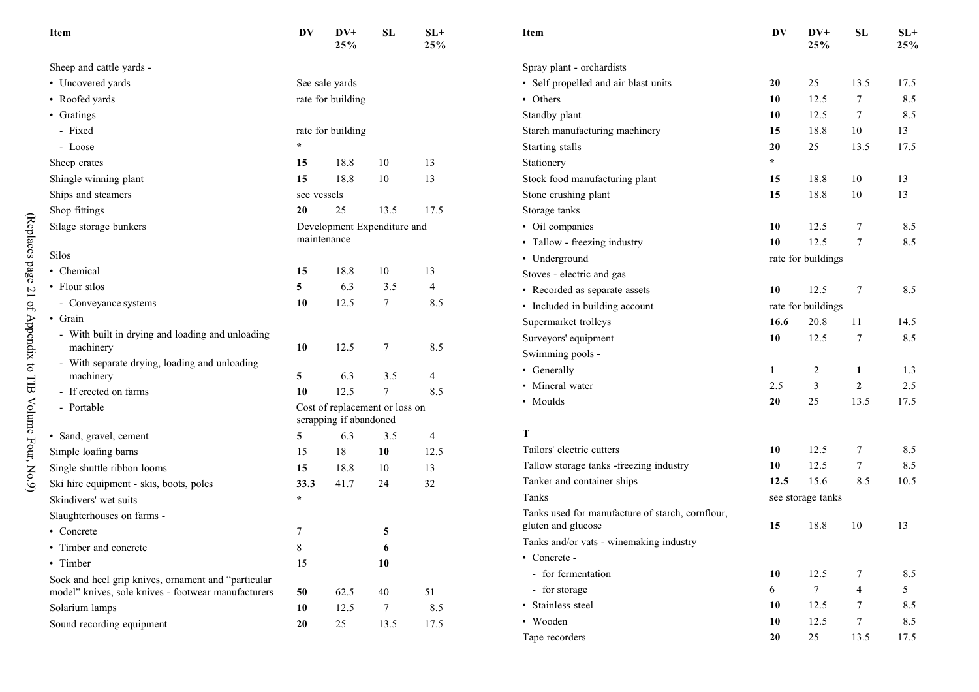| Item                                                       | DV          | $DV+$<br>25%           | SL                             | $SL+$<br>25% | Item                                             | DV      | $DV+$<br>25%       | SL                      | $SL+$<br>25% |
|------------------------------------------------------------|-------------|------------------------|--------------------------------|--------------|--------------------------------------------------|---------|--------------------|-------------------------|--------------|
| Sheep and cattle yards -                                   |             |                        |                                |              | Spray plant - orchardists                        |         |                    |                         |              |
| • Uncovered yards                                          |             | See sale yards         |                                |              | • Self propelled and air blast units             | 20      | 25                 | 13.5                    | 17.5         |
| • Roofed yards                                             |             | rate for building      |                                |              | • Others                                         | 10      | 12.5               | $\tau$                  | 8.5          |
| • Gratings                                                 |             |                        |                                |              | Standby plant                                    | 10      | 12.5               | 7                       | 8.5          |
| - Fixed                                                    |             | rate for building      |                                |              | Starch manufacturing machinery                   | 15      | 18.8               | 10                      | 13           |
| - Loose                                                    | $\star$     |                        |                                |              | Starting stalls                                  | 20      | 25                 | 13.5                    | 17.5         |
| Sheep crates                                               | 15          | 18.8                   | 10                             | 13           | Stationery                                       | $\star$ |                    |                         |              |
| Shingle winning plant                                      | 15          | 18.8                   | 10                             | 13           | Stock food manufacturing plant                   | 15      | 18.8               | 10                      | 13           |
| Ships and steamers                                         | see vessels |                        |                                |              | Stone crushing plant                             | 15      | 18.8               | 10                      | 13           |
| Shop fittings                                              | 20          | 25                     | 13.5                           | 17.5         | Storage tanks                                    |         |                    |                         |              |
| Silage storage bunkers                                     |             |                        | Development Expenditure and    |              | • Oil companies                                  | 10      | 12.5               | $\tau$                  | 8.5          |
|                                                            | maintenance |                        |                                |              | • Tallow - freezing industry                     | 10      | 12.5               | $\tau$                  | 8.5          |
| Silos                                                      |             |                        |                                |              | • Underground                                    |         | rate for buildings |                         |              |
| • Chemical                                                 | 15          | 18.8                   | 10                             | 13           | Stoves - electric and gas                        |         |                    |                         |              |
| • Flour silos                                              | 5           | 6.3                    | 3.5                            | 4            | • Recorded as separate assets                    | 10      | 12.5               | $\tau$                  | 8.5          |
| - Conveyance systems                                       | 10          | 12.5                   | 7                              | 8.5          | • Included in building account                   |         | rate for buildings |                         |              |
| • Grain                                                    |             |                        |                                |              | Supermarket trolleys                             | 16.6    | 20.8               | 11                      | 14.5         |
| - With built in drying and loading and unloading           |             |                        |                                |              | Surveyors' equipment                             | 10      | 12.5               | $\overline{7}$          | 8.5          |
| machinery                                                  | 10          | 12.5                   | 7                              | 8.5          | Swimming pools -                                 |         |                    |                         |              |
| - With separate drying, loading and unloading<br>machinery | 5           | 6.3                    | 3.5                            | 4            | • Generally                                      |         | $\overline{c}$     | 1                       | 1.3          |
| - If erected on farms                                      | 10          | 12.5                   | $\tau$                         | 8.5          | • Mineral water                                  | 2.5     | 3                  | $\overline{2}$          | 2.5          |
| - Portable                                                 |             |                        | Cost of replacement or loss on |              | • Moulds                                         | 20      | 25                 | 13.5                    | 17.5         |
|                                                            |             | scrapping if abandoned |                                |              |                                                  |         |                    |                         |              |
| · Sand, gravel, cement                                     | 5           | 6.3                    | 3.5                            | 4            | T                                                |         |                    |                         |              |
| Simple loafing barns                                       | 15          | 18                     | 10                             | 12.5         | Tailors' electric cutters                        | 10      | 12.5               | $\tau$                  | 8.5          |
| Single shuttle ribbon looms                                | 15          | 18.8                   | 10                             | 13           | Tallow storage tanks -freezing industry          | 10      | 12.5               | $\tau$                  | 8.5          |
| Ski hire equipment - skis, boots, poles                    | 33.3        | 41.7                   | 24                             | 32           | Tanker and container ships                       | 12.5    | 15.6               | 8.5                     | 10.5         |
| Skindivers' wet suits                                      | $\star$     |                        |                                |              | Tanks                                            |         | see storage tanks  |                         |              |
| Slaughterhouses on farms -                                 |             |                        |                                |              | Tanks used for manufacture of starch, cornflour, |         |                    |                         |              |
| • Concrete                                                 | 7           |                        | 5                              |              | gluten and glucose                               | 15      | 18.8               | 10                      | 13           |
| • Timber and concrete                                      | $8\,$       |                        | 6                              |              | Tanks and/or vats - winemaking industry          |         |                    |                         |              |
| • Timber                                                   | 15          |                        | 10                             |              | • Concrete -                                     |         |                    |                         |              |
| Sock and heel grip knives, ornament and "particular        |             |                        |                                |              | - for fermentation                               | 10      | 12.5               | 7                       | 8.5          |
| model" knives, sole knives - footwear manufacturers        | 50          | 62.5                   | 40                             | 51           | - for storage                                    | 6       | $7\phantom{.0}$    | $\overline{\mathbf{4}}$ | 5            |
| Solarium lamps                                             | 10          | 12.5                   | $\tau$                         | 8.5          | · Stainless steel                                | 10      | 12.5               | 7                       | 8.5          |
| Sound recording equipment                                  | 20          | 25                     | 13.5                           | 17.5         | • Wooden                                         | 10      | 12.5               | $\tau$                  | 8.5          |
|                                                            |             |                        |                                |              | Tape recorders                                   | 20      | 25                 | 13.5                    | 17.5         |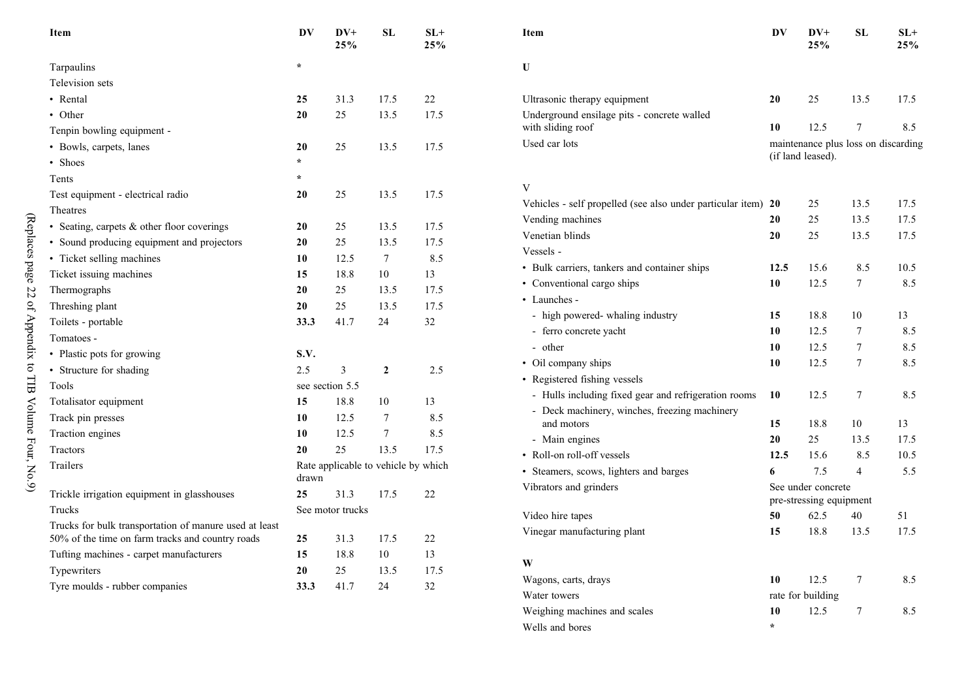| Item                                                                                                       | DV      | $DV+$<br>25%                        | SL              | $SL+$<br>25% | Item                                                          | DV   | $DV+$<br>25%                        | SL             | $SL+$<br>25% |
|------------------------------------------------------------------------------------------------------------|---------|-------------------------------------|-----------------|--------------|---------------------------------------------------------------|------|-------------------------------------|----------------|--------------|
| Tarpaulins                                                                                                 | $\star$ |                                     |                 |              | $\mathbf{U}$                                                  |      |                                     |                |              |
| Television sets                                                                                            |         |                                     |                 |              |                                                               |      |                                     |                |              |
| • Rental                                                                                                   | 25      | 31.3                                | 17.5            | 22           | Ultrasonic therapy equipment                                  | 20   | 25                                  | 13.5           | 17.5         |
| • Other                                                                                                    | 20      | 25                                  | 13.5            | 17.5         | Underground ensilage pits - concrete walled                   |      |                                     |                |              |
| Tenpin bowling equipment -                                                                                 |         |                                     |                 |              | with sliding roof                                             | 10   | 12.5                                | $\tau$         | 8.5          |
| · Bowls, carpets, lanes                                                                                    | 20      | 25                                  | 13.5            | 17.5         | Used car lots                                                 |      | maintenance plus loss on discarding |                |              |
| • Shoes                                                                                                    | $\star$ |                                     |                 |              |                                                               |      | (if land leased).                   |                |              |
| Tents                                                                                                      | $\star$ |                                     |                 |              |                                                               |      |                                     |                |              |
| Test equipment - electrical radio                                                                          | 20      | 25                                  | 13.5            | 17.5         | V                                                             |      |                                     |                |              |
| Theatres                                                                                                   |         |                                     |                 |              | Vehicles - self propelled (see also under particular item) 20 |      | 25                                  | 13.5           | 17.5         |
| · Seating, carpets & other floor coverings                                                                 | 20      | 25                                  | 13.5            | 17.5         | Vending machines                                              | 20   | 25                                  | 13.5           | 17.5         |
| · Sound producing equipment and projectors                                                                 | 20      | 25                                  | 13.5            | 17.5         | Venetian blinds                                               | 20   | 25                                  | 13.5           | 17.5         |
| • Ticket selling machines                                                                                  | 10      | 12.5                                | $\tau$          | 8.5          | Vessels -                                                     |      |                                     |                |              |
| Ticket issuing machines                                                                                    | 15      | 18.8                                | 10              | 13           | • Bulk carriers, tankers and container ships                  | 12.5 | 15.6                                | 8.5            | 10.5         |
| Thermographs                                                                                               | 20      | 25                                  | 13.5            | 17.5         | • Conventional cargo ships                                    | 10   | 12.5                                | $\tau$         | 8.5          |
| Threshing plant                                                                                            | 20      | 25                                  | 13.5            | 17.5         | • Launches -                                                  |      |                                     |                |              |
| Toilets - portable                                                                                         | 33.3    | 41.7                                | 24              | 32           | - high powered- whaling industry                              | 15   | 18.8                                | 10             | 13           |
| Tomatoes -                                                                                                 |         |                                     |                 |              | - ferro concrete yacht                                        | 10   | 12.5                                | $\tau$         | 8.5          |
| · Plastic pots for growing                                                                                 | S.V.    |                                     |                 |              | - other                                                       | 10   | 12.5                                | 7              | 8.5          |
| • Structure for shading                                                                                    | 2.5     | $\mathfrak{Z}$                      | $\overline{2}$  | 2.5          | • Oil company ships                                           | 10   | 12.5                                | $\tau$         | 8.5          |
| Tools                                                                                                      |         | see section 5.5                     |                 |              | • Registered fishing vessels                                  |      |                                     |                |              |
| Totalisator equipment                                                                                      | 15      | 18.8                                | 10              | 13           | - Hulls including fixed gear and refrigeration rooms          | 10   | 12.5                                | $\tau$         | 8.5          |
| Track pin presses                                                                                          | 10      | 12.5                                | $\tau$          | 8.5          | - Deck machinery, winches, freezing machinery<br>and motors   | 15   | 18.8                                | 10             | 13           |
| Traction engines                                                                                           | 10      | 12.5                                | $7\phantom{.0}$ | 8.5          |                                                               | 20   | 25                                  | 13.5           | 17.5         |
| Tractors                                                                                                   | 20      | 25                                  | 13.5            | 17.5         | - Main engines<br>• Roll-on roll-off vessels                  | 12.5 | 15.6                                | 8.5            | 10.5         |
| Trailers                                                                                                   |         | Rate applicable to vehicle by which |                 |              | • Steamers, scows, lighters and barges                        | 6    | 7.5                                 | $\overline{4}$ | 5.5          |
|                                                                                                            | drawn   |                                     |                 |              | Vibrators and grinders                                        |      | See under concrete                  |                |              |
| Trickle irrigation equipment in glasshouses                                                                | 25      | 31.3                                | 17.5            | 22           |                                                               |      | pre-stressing equipment             |                |              |
| Trucks                                                                                                     |         | See motor trucks                    |                 |              | Video hire tapes                                              | 50   | 62.5                                | 40             | 51           |
| Trucks for bulk transportation of manure used at least<br>50% of the time on farm tracks and country roads | 25      | 31.3                                | 17.5            | 22           | Vinegar manufacturing plant                                   | 15   | 18.8                                | 13.5           | 17.5         |
| Tufting machines - carpet manufacturers                                                                    | 15      | 18.8                                | 10              | 13           |                                                               |      |                                     |                |              |
| Typewriters                                                                                                | 20      | 25                                  | 13.5            | 17.5         | W                                                             |      |                                     |                |              |
| Tyre moulds - rubber companies                                                                             | 33.3    | 41.7                                | 24              | 32           | Wagons, carts, drays                                          | 10   | 12.5                                | $\tau$         | 8.5          |
|                                                                                                            |         |                                     |                 |              | Water towers                                                  |      | rate for building                   |                |              |
|                                                                                                            |         |                                     |                 |              | Weighing machines and scales                                  | 10   | 12.5                                | 7              | 8.5          |

Wells and bores  $*$